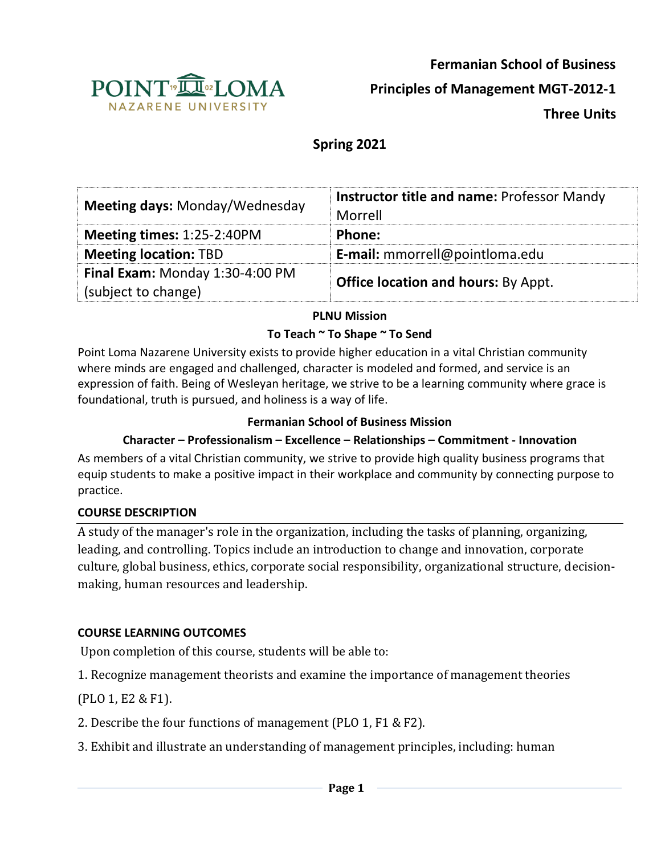

**Fermanian School of Business**

**Principles of Management MGT-2012-1**

**Three Units**

# **Spring 2021**

| Meeting days: Monday/Wednesday                         | <b>Instructor title and name: Professor Mandy</b><br>Morrell |
|--------------------------------------------------------|--------------------------------------------------------------|
| Meeting times: 1:25-2:40PM                             | Phone:                                                       |
| <b>Meeting location: TBD</b>                           | E-mail: mmorrell@pointloma.edu                               |
| Final Exam: Monday 1:30-4:00 PM<br>(subject to change) | <b>Office location and hours: By Appt.</b>                   |

#### **PLNU Mission**

#### **To Teach ~ To Shape ~ To Send**

Point Loma Nazarene University exists to provide higher education in a vital Christian community where minds are engaged and challenged, character is modeled and formed, and service is an expression of faith. Being of Wesleyan heritage, we strive to be a learning community where grace is foundational, truth is pursued, and holiness is a way of life.

#### **Fermanian School of Business Mission**

## **Character – Professionalism – Excellence – Relationships – Commitment - Innovation**

As members of a vital Christian community, we strive to provide high quality business programs that equip students to make a positive impact in their workplace and community by connecting purpose to practice.

#### **COURSE DESCRIPTION**

A study of the manager's role in the organization, including the tasks of planning, organizing, leading, and controlling. Topics include an introduction to change and innovation, corporate culture, global business, ethics, corporate social responsibility, organizational structure, decisionmaking, human resources and leadership.

### **COURSE LEARNING OUTCOMES**

Upon completion of this course, students will be able to:

1. Recognize management theorists and examine the importance of management theories

(PLO 1, E2 & F1).

- 2. Describe the four functions of management (PLO 1, F1 & F2).
- 3. Exhibit and illustrate an understanding of management principles, including: human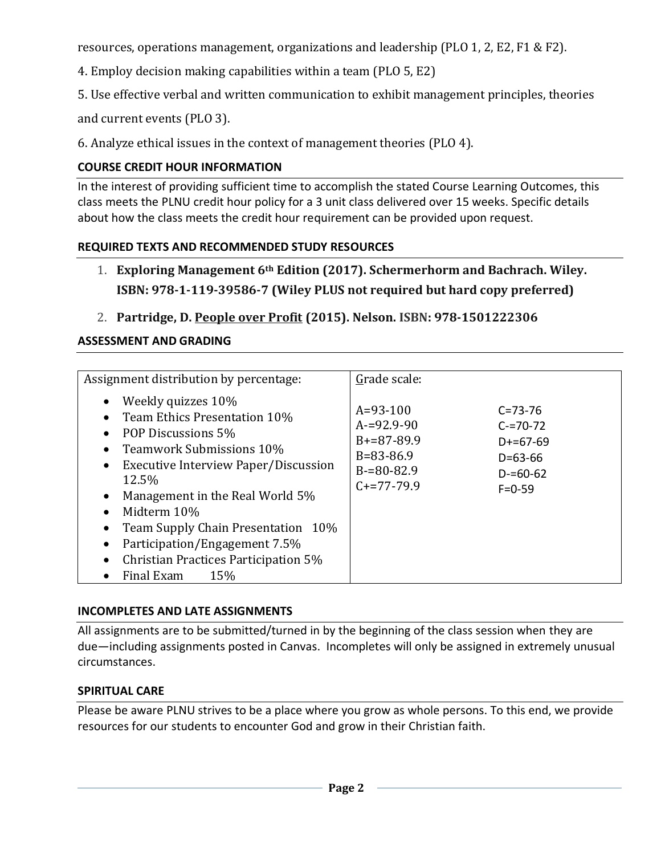resources, operations management, organizations and leadership (PLO 1, 2, E2, F1 & F2).

4. Employ decision making capabilities within a team (PLO 5, E2)

5. Use effective verbal and written communication to exhibit management principles, theories

and current events (PLO 3).

6. Analyze ethical issues in the context of management theories (PLO 4).

## **COURSE CREDIT HOUR INFORMATION**

In the interest of providing sufficient time to accomplish the stated Course Learning Outcomes, this class meets the PLNU credit hour policy for a 3 unit class delivered over 15 weeks. Specific details about how the class meets the credit hour requirement can be provided upon request.

### **REQUIRED TEXTS AND RECOMMENDED STUDY RESOURCES**

- 1. **Exploring Management 6th Edition (2017). Schermerhorm and Bachrach. Wiley. ISBN: 978-1-119-39586-7 (Wiley PLUS not required but hard copy preferred)**
- 2. **Partridge, D. People over Profit (2015). Nelson. ISBN: 978-1501222306**

## **ASSESSMENT AND GRADING**

| Assignment distribution by percentage:                                                                                                                                                                                                                                                                                                                   | Grade scale:                                                                                                                                                                                              |
|----------------------------------------------------------------------------------------------------------------------------------------------------------------------------------------------------------------------------------------------------------------------------------------------------------------------------------------------------------|-----------------------------------------------------------------------------------------------------------------------------------------------------------------------------------------------------------|
| Weekly quizzes 10%<br>Team Ethics Presentation 10%<br>POP Discussions 5%<br>Teamwork Submissions 10%<br>Executive Interview Paper/Discussion<br>$\bullet$<br>12.5%<br>Management in the Real World 5%<br>Midterm 10%<br>Team Supply Chain Presentation 10%<br>Participation/Engagement 7.5%<br>Christian Practices Participation 5%<br>Final Exam<br>15% | $A = 93 - 100$<br>$C = 73 - 76$<br>$A = 92.9 - 90$<br>$C = 70 - 72$<br>$B+=87-89.9$<br>$D+=67-69$<br>$B = 83 - 86.9$<br>$D = 63 - 66$<br>$B = 80 - 82.9$<br>$D = 60 - 62$<br>$C+=77-79.9$<br>$F = 0 - 59$ |

### **INCOMPLETES AND LATE ASSIGNMENTS**

All assignments are to be submitted/turned in by the beginning of the class session when they are due—including assignments posted in Canvas. Incompletes will only be assigned in extremely unusual circumstances.

### **SPIRITUAL CARE**

Please be aware PLNU strives to be a place where you grow as whole persons. To this end, we provide resources for our students to encounter God and grow in their Christian faith.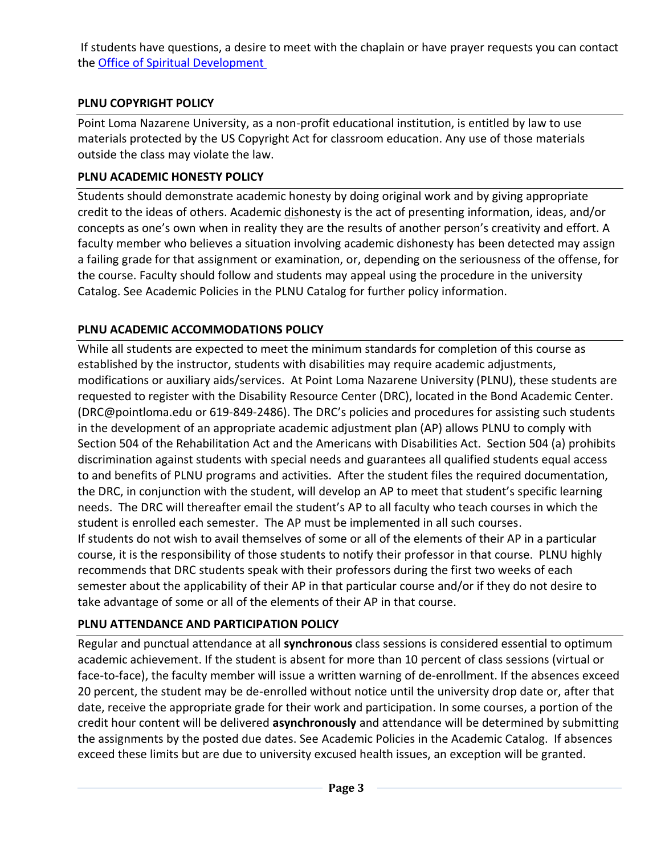If students have questions, a desire to meet with the chaplain or have prayer requests you can contact the [Office of Spiritual Development](https://www.pointloma.edu/offices/spiritual-development)

## **PLNU COPYRIGHT POLICY**

Point Loma Nazarene University, as a non-profit educational institution, is entitled by law to use materials protected by the US Copyright Act for classroom education. Any use of those materials outside the class may violate the law.

## **PLNU ACADEMIC HONESTY POLICY**

Students should demonstrate academic honesty by doing original work and by giving appropriate credit to the ideas of others. Academic dishonesty is the act of presenting information, ideas, and/or concepts as one's own when in reality they are the results of another person's creativity and effort. A faculty member who believes a situation involving academic dishonesty has been detected may assign a failing grade for that assignment or examination, or, depending on the seriousness of the offense, for the course. Faculty should follow and students may appeal using the procedure in the university Catalog. See Academic Policies in the PLNU Catalog for further policy information.

## **PLNU ACADEMIC ACCOMMODATIONS POLICY**

While all students are expected to meet the minimum standards for completion of this course as established by the instructor, students with disabilities may require academic adjustments, modifications or auxiliary aids/services. At Point Loma Nazarene University (PLNU), these students are requested to register with the Disability Resource Center (DRC), located in the Bond Academic Center. (DRC@pointloma.edu or 619-849-2486). The DRC's policies and procedures for assisting such students in the development of an appropriate academic adjustment plan (AP) allows PLNU to comply with Section 504 of the Rehabilitation Act and the Americans with Disabilities Act. Section 504 (a) prohibits discrimination against students with special needs and guarantees all qualified students equal access to and benefits of PLNU programs and activities. After the student files the required documentation, the DRC, in conjunction with the student, will develop an AP to meet that student's specific learning needs. The DRC will thereafter email the student's AP to all faculty who teach courses in which the student is enrolled each semester. The AP must be implemented in all such courses. If students do not wish to avail themselves of some or all of the elements of their AP in a particular course, it is the responsibility of those students to notify their professor in that course. PLNU highly recommends that DRC students speak with their professors during the first two weeks of each semester about the applicability of their AP in that particular course and/or if they do not desire to take advantage of some or all of the elements of their AP in that course.

### **PLNU ATTENDANCE AND PARTICIPATION POLICY**

Regular and punctual attendance at all **synchronous** class sessions is considered essential to optimum academic achievement. If the student is absent for more than 10 percent of class sessions (virtual or face-to-face), the faculty member will issue a written warning of de-enrollment. If the absences exceed 20 percent, the student may be de-enrolled without notice until the university drop date or, after that date, receive the appropriate grade for their work and participation. In some courses, a portion of the credit hour content will be delivered **asynchronously** and attendance will be determined by submitting the assignments by the posted due dates. See Academic Policies in the Academic Catalog. If absences exceed these limits but are due to university excused health issues, an exception will be granted.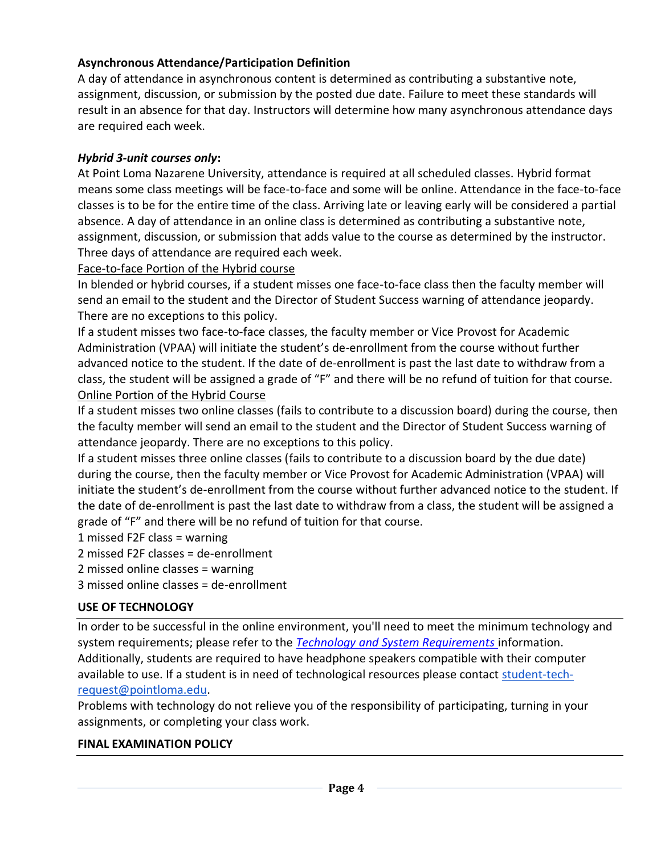### **Asynchronous Attendance/Participation Definition**

A day of attendance in asynchronous content is determined as contributing a substantive note, assignment, discussion, or submission by the posted due date. Failure to meet these standards will result in an absence for that day. Instructors will determine how many asynchronous attendance days are required each week.

#### *Hybrid 3-unit courses only***:**

At Point Loma Nazarene University, attendance is required at all scheduled classes. Hybrid format means some class meetings will be face-to-face and some will be online. Attendance in the face-to-face classes is to be for the entire time of the class. Arriving late or leaving early will be considered a partial absence. A day of attendance in an online class is determined as contributing a substantive note, assignment, discussion, or submission that adds value to the course as determined by the instructor. Three days of attendance are required each week.

Face-to-face Portion of the Hybrid course

In blended or hybrid courses, if a student misses one face-to-face class then the faculty member will send an email to the student and the Director of Student Success warning of attendance jeopardy. There are no exceptions to this policy.

If a student misses two face-to-face classes, the faculty member or Vice Provost for Academic Administration (VPAA) will initiate the student's de-enrollment from the course without further advanced notice to the student. If the date of de-enrollment is past the last date to withdraw from a class, the student will be assigned a grade of "F" and there will be no refund of tuition for that course. Online Portion of the Hybrid Course

If a student misses two online classes (fails to contribute to a discussion board) during the course, then the faculty member will send an email to the student and the Director of Student Success warning of attendance jeopardy. There are no exceptions to this policy.

If a student misses three online classes (fails to contribute to a discussion board by the due date) during the course, then the faculty member or Vice Provost for Academic Administration (VPAA) will initiate the student's de-enrollment from the course without further advanced notice to the student. If the date of de-enrollment is past the last date to withdraw from a class, the student will be assigned a grade of "F" and there will be no refund of tuition for that course.

1 missed F2F class = warning

2 missed F2F classes = de-enrollment

2 missed online classes = warning

3 missed online classes = de-enrollment

#### **USE OF TECHNOLOGY**

In order to be successful in the online environment, you'll need to meet the minimum technology and system requirements; please refer to the *[Technology and System Requirements](https://help.pointloma.edu/TDClient/1808/Portal/KB/ArticleDet?ID=108349)* information. Additionally, students are required to have headphone speakers compatible with their computer available to use. If a student is in need of technological resources please contact [student-tech](mailto:student-tech-request@pointloma.edu)[request@pointloma.edu.](mailto:student-tech-request@pointloma.edu)

Problems with technology do not relieve you of the responsibility of participating, turning in your assignments, or completing your class work.

#### **FINAL EXAMINATION POLICY**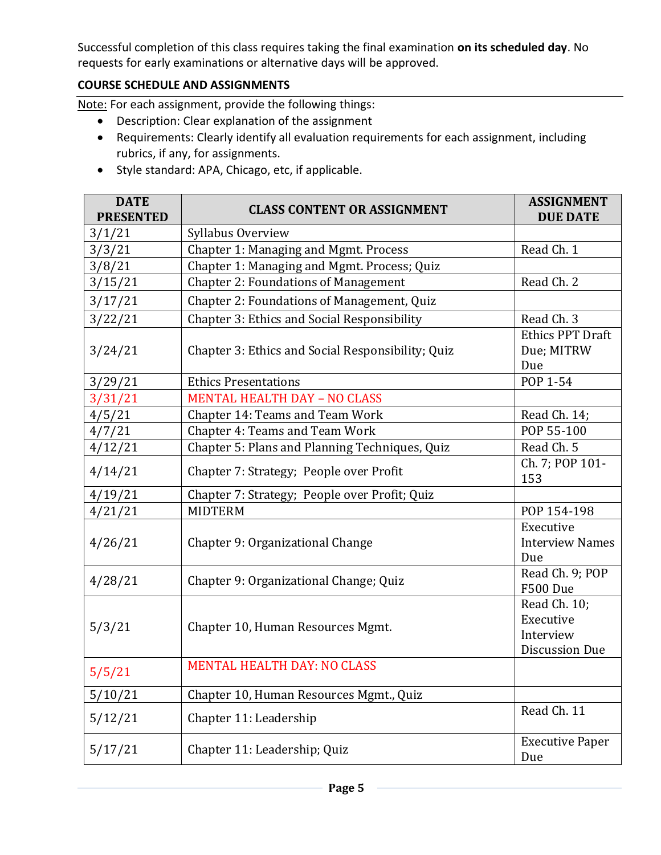Successful completion of this class requires taking the final examination **on its scheduled day**. No requests for early examinations or alternative days will be approved.

## **COURSE SCHEDULE AND ASSIGNMENTS**

Note: For each assignment, provide the following things:

- Description: Clear explanation of the assignment
- Requirements: Clearly identify all evaluation requirements for each assignment, including rubrics, if any, for assignments.
- Style standard: APA, Chicago, etc, if applicable.

| <b>DATE</b><br><b>PRESENTED</b> | <b>CLASS CONTENT OR ASSIGNMENT</b>                 | <b>ASSIGNMENT</b><br><b>DUE DATE</b>                            |
|---------------------------------|----------------------------------------------------|-----------------------------------------------------------------|
| 3/1/21                          | Syllabus Overview                                  |                                                                 |
| 3/3/21                          | <b>Chapter 1: Managing and Mgmt. Process</b>       | Read Ch. 1                                                      |
| 3/8/21                          | Chapter 1: Managing and Mgmt. Process; Quiz        |                                                                 |
| 3/15/21                         | <b>Chapter 2: Foundations of Management</b>        | Read Ch. 2                                                      |
| 3/17/21                         | Chapter 2: Foundations of Management, Quiz         |                                                                 |
| 3/22/21                         | <b>Chapter 3: Ethics and Social Responsibility</b> | Read Ch. 3                                                      |
| 3/24/21                         | Chapter 3: Ethics and Social Responsibility; Quiz  | <b>Ethics PPT Draft</b><br>Due; MITRW<br>Due                    |
| 3/29/21                         | <b>Ethics Presentations</b>                        | POP 1-54                                                        |
| 3/31/21                         | <b>MENTAL HEALTH DAY - NO CLASS</b>                |                                                                 |
| 4/5/21                          | Chapter 14: Teams and Team Work                    | Read Ch. 14;                                                    |
| 4/7/21                          | Chapter 4: Teams and Team Work                     | POP 55-100                                                      |
| 4/12/21                         | Chapter 5: Plans and Planning Techniques, Quiz     | Read Ch. 5                                                      |
| 4/14/21                         | Chapter 7: Strategy; People over Profit            | Ch. 7; POP 101-<br>153                                          |
| 4/19/21                         | Chapter 7: Strategy; People over Profit; Quiz      |                                                                 |
| 4/21/21                         | <b>MIDTERM</b>                                     | POP 154-198                                                     |
| 4/26/21                         | Chapter 9: Organizational Change                   | Executive<br><b>Interview Names</b><br>Due                      |
| 4/28/21                         | Chapter 9: Organizational Change; Quiz             | Read Ch. 9; POP<br><b>F500 Due</b>                              |
| 5/3/21                          | Chapter 10, Human Resources Mgmt.                  | Read Ch. 10;<br>Executive<br>Interview<br><b>Discussion Due</b> |
| 5/5/21                          | <b>MENTAL HEALTH DAY: NO CLASS</b>                 |                                                                 |
| 5/10/21                         | Chapter 10, Human Resources Mgmt., Quiz            |                                                                 |
| 5/12/21                         | Chapter 11: Leadership                             | Read Ch. 11                                                     |
| 5/17/21                         | Chapter 11: Leadership; Quiz                       | <b>Executive Paper</b><br>Due                                   |